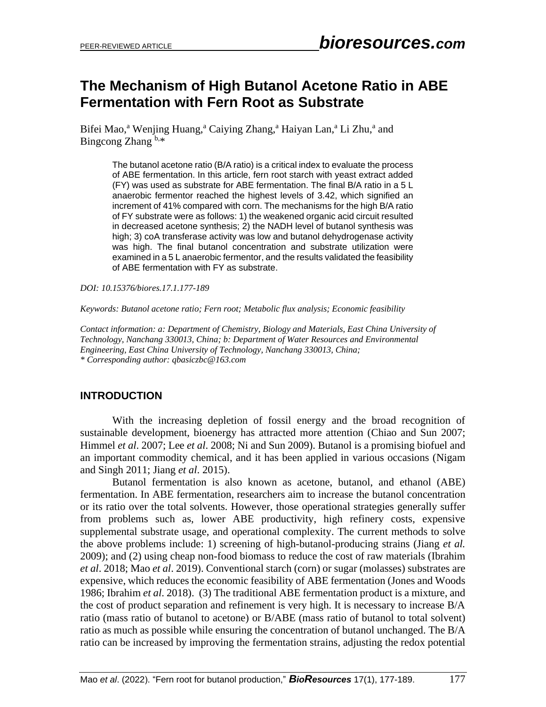## **The Mechanism of High Butanol Acetone Ratio in ABE Fermentation with Fern Root as Substrate**

Bifei Mao,<sup>a</sup> Wenjing Huang,<sup>a</sup> Caiying Zhang,<sup>a</sup> Haiyan Lan,<sup>a</sup> Li Zhu,<sup>a</sup> and Bingcong Zhang b,\*

The butanol acetone ratio (B/A ratio) is a critical index to evaluate the process of ABE fermentation. In this article, fern root starch with yeast extract added (FY) was used as substrate for ABE fermentation. The final B/A ratio in a 5 L anaerobic fermentor reached the highest levels of 3.42, which signified an increment of 41% compared with corn. The mechanisms for the high B/A ratio of FY substrate were as follows: 1) the weakened organic acid circuit resulted in decreased acetone synthesis; 2) the NADH level of butanol synthesis was high; 3) coA transferase activity was low and butanol dehydrogenase activity was high. The final butanol concentration and substrate utilization were examined in a 5 L anaerobic fermentor, and the results validated the feasibility of ABE fermentation with FY as substrate.

*DOI: 10.15376/biores.17.1.177-189*

*Keywords: Butanol acetone ratio; Fern root; Metabolic flux analysis; Economic feasibility*

*Contact information: a: Department of Chemistry, Biology and Materials, East China University of Technology, Nanchang 330013, China; b: Department of Water Resources and Environmental Engineering, East China University of Technology, Nanchang 330013, China; \* Corresponding author: qbasiczbc@163.com*

## **INTRODUCTION**

With the increasing depletion of fossil energy and the broad recognition of sustainable development, bioenergy has attracted more attention (Chiao and Sun 2007; Himmel *et al*. 2007; Lee *et al*. 2008; Ni and Sun 2009). Butanol is a promising biofuel and an important commodity chemical, and it has been applied in various occasions (Nigam and Singh 2011; Jiang *et al*. 2015).

Butanol fermentation is also known as acetone, butanol, and ethanol (ABE) fermentation. In ABE fermentation, researchers aim to increase the butanol concentration or its ratio over the total solvents. However, those operational strategies generally suffer from problems such as, lower ABE productivity, high refinery costs, expensive supplemental substrate usage, and operational complexity. The current methods to solve the above problems include: 1) screening of high-butanol-producing strains (Jiang *et al.* 2009); and (2) using cheap non-food biomass to reduce the cost of raw materials (Ibrahim *et al*. 2018; Mao *et al*. 2019). Conventional starch (corn) or sugar (molasses) substrates are expensive, which reduces the economic feasibility of ABE fermentation (Jones and Woods 1986; Ibrahim *et al*. 2018). (3) The traditional ABE fermentation product is a mixture, and the cost of product separation and refinement is very high. It is necessary to increase B/A ratio (mass ratio of butanol to acetone) or B/ABE (mass ratio of butanol to total solvent) ratio as much as possible while ensuring the concentration of butanol unchanged. The B/A ratio can be increased by improving the fermentation strains, adjusting the redox potential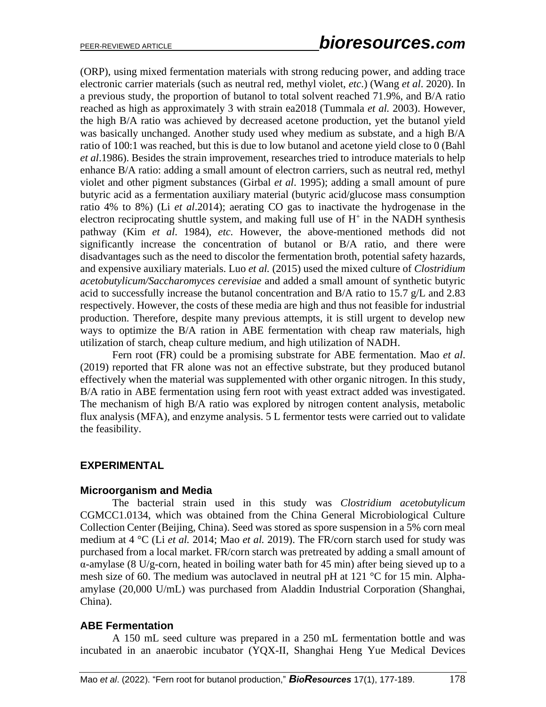(ORP), using mixed fermentation materials with strong reducing power, and adding trace electronic carrier materials (such as neutral red, methyl violet, *etc*.) (Wang *et al*. 2020). In a previous study, the proportion of butanol to total solvent reached 71.9%, and B/A ratio reached as high as approximately 3 with strain ea2018 (Tummala *et al.* 2003). However, the high B/A ratio was achieved by decreased acetone production, yet the butanol yield was basically unchanged. Another study used whey medium as substate, and a high B/A ratio of 100:1 was reached, but this is due to low butanol and acetone yield close to 0 (Bahl *et al*.1986). Besides the strain improvement, researches tried to introduce materials to help enhance B/A ratio: adding a small amount of electron carriers, such as neutral red, methyl violet and other pigment substances (Girbal *et al*. 1995); adding a small amount of pure butyric acid as a fermentation auxiliary material (butyric acid/glucose mass consumption ratio 4% to 8%) (Li *et al*.2014); aerating CO gas to inactivate the hydrogenase in the electron reciprocating shuttle system, and making full use of  $H^+$  in the NADH synthesis pathway (Kim *et al*. 1984), *etc.* However, the above-mentioned methods did not significantly increase the concentration of butanol or B/A ratio, and there were disadvantages such as the need to discolor the fermentation broth, potential safety hazards, and expensive auxiliary materials. Luo *et al.* (2015) used the mixed culture of *Clostridium acetobutylicum/Saccharomyces cerevisiae* and added a small amount of synthetic butyric acid to successfully increase the butanol concentration and B/A ratio to 15.7 g/L and 2.83 respectively. However, the costs of these media are high and thus not feasible for industrial production. Therefore, despite many previous attempts, it is still urgent to develop new ways to optimize the B/A ration in ABE fermentation with cheap raw materials, high utilization of starch, cheap culture medium, and high utilization of NADH.

Fern root (FR) could be a promising substrate for ABE fermentation. Mao *et al*. (2019) reported that FR alone was not an effective substrate, but they produced butanol effectively when the material was supplemented with other organic nitrogen. In this study, B/A ratio in ABE fermentation using fern root with yeast extract added was investigated. The mechanism of high B/A ratio was explored by nitrogen content analysis, metabolic flux analysis (MFA), and enzyme analysis. 5 L fermentor tests were carried out to validate the feasibility.

### **EXPERIMENTAL**

### **Microorganism and Media**

The bacterial strain used in this study was *Clostridium acetobutylicum*  CGMCC1.0134, which was obtained from the China General Microbiological Culture Collection Center (Beijing, China). Seed was stored as spore suspension in a 5% corn meal medium at 4 °C (Li *et al.* 2014; Mao *et al.* 2019). The FR/corn starch used for study was purchased from a local market. FR/corn starch was pretreated by adding a small amount of α-amylase (8 U/g-corn, heated in boiling water bath for 45 min) after being sieved up to a mesh size of 60. The medium was autoclaved in neutral pH at 121 °C for 15 min. Alphaamylase (20,000 U/mL) was purchased from Aladdin Industrial Corporation (Shanghai, China).

### **ABE Fermentation**

A 150 mL seed culture was prepared in a 250 mL fermentation bottle and was incubated in an anaerobic incubator (YQX-II, Shanghai Heng Yue Medical Devices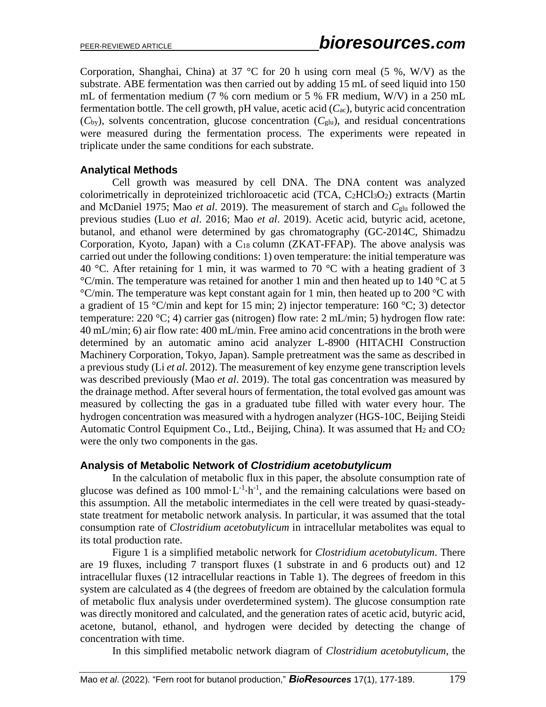Corporation, Shanghai, China) at 37 °C for 20 h using corn meal (5 %, W/V) as the substrate. ABE fermentation was then carried out by adding 15 mL of seed liquid into 150 mL of fermentation medium (7 % corn medium or 5 % FR medium, W/V) in a 250 mL fermentation bottle. The cell growth, pH value, acetic acid (*C*ac), butyric acid concentration  $(C_{\text{by}})$ , solvents concentration, glucose concentration  $(C_{\text{glu}})$ , and residual concentrations were measured during the fermentation process. The experiments were repeated in triplicate under the same conditions for each substrate.

## **Analytical Methods**

Cell growth was measured by cell DNA. The DNA content was analyzed colorimetrically in deproteinized trichloroacetic acid (TCA,  $C_2$ HCl<sub>3</sub>O<sub>2</sub>) extracts (Martin and McDaniel 1975; Mao *et al*. 2019). The measurement of starch and *C*glu followed the previous studies (Luo *et al*. 2016; Mao *et al*. 2019). Acetic acid, butyric acid, acetone, butanol, and ethanol were determined by gas chromatography (GC-2014C, Shimadzu Corporation, Kyoto, Japan) with a  $C_{18}$  column (ZKAT-FFAP). The above analysis was carried out under the following conditions: 1) oven temperature: the initial temperature was 40 °C. After retaining for 1 min, it was warmed to 70 °C with a heating gradient of 3  $\degree$ C/min. The temperature was retained for another 1 min and then heated up to 140  $\degree$ C at 5  $\rm{°C/min}$ . The temperature was kept constant again for 1 min, then heated up to 200  $\rm{°C}$  with a gradient of 15 °C/min and kept for 15 min; 2) injector temperature: 160 °C; 3) detector temperature:  $220 \text{ °C}$ ; 4) carrier gas (nitrogen) flow rate:  $2 \text{ mL/min}$ ; 5) hydrogen flow rate: 40 mL/min; 6) air flow rate: 400 mL/min. Free amino acid concentrations in the broth were determined by an automatic amino acid analyzer L-8900 (HITACHI Construction Machinery Corporation, Tokyo, Japan). Sample pretreatment was the same as described in a previous study (Li *et al.* 2012). The measurement of key enzyme gene transcription levels was described previously (Mao *et al*. 2019). The total gas concentration was measured by the drainage method. After several hours of fermentation, the total evolved gas amount was measured by collecting the gas in a graduated tube filled with water every hour. The hydrogen concentration was measured with a hydrogen analyzer (HGS-10C, Beijing Steidi Automatic Control Equipment Co., Ltd., Beijing, China). It was assumed that  $H_2$  and  $CO_2$ were the only two components in the gas.

### **Analysis of Metabolic Network of** *Clostridium acetobutylicum*

In the calculation of metabolic flux in this paper, the absolute consumption rate of glucose was defined as  $100 \text{ mmol} \cdot L^{-1} \cdot h^{-1}$ , and the remaining calculations were based on this assumption. All the metabolic intermediates in the cell were treated by quasi-steadystate treatment for metabolic network analysis. In particular, it was assumed that the total consumption rate of *Clostridium acetobutylicum* in intracellular metabolites was equal to its total production rate.

Figure 1 is a simplified metabolic network for *Clostridium acetobutylicum*. There are 19 fluxes, including 7 transport fluxes (1 substrate in and 6 products out) and 12 intracellular fluxes (12 intracellular reactions in Table 1). The degrees of freedom in this system are calculated as 4 (the degrees of freedom are obtained by the calculation formula of metabolic flux analysis under overdetermined system). The glucose consumption rate was directly monitored and calculated, and the generation rates of acetic acid, butyric acid, acetone, butanol, ethanol, and hydrogen were decided by detecting the change of concentration with time.

In this simplified metabolic network diagram of *Clostridium acetobutylicum*, the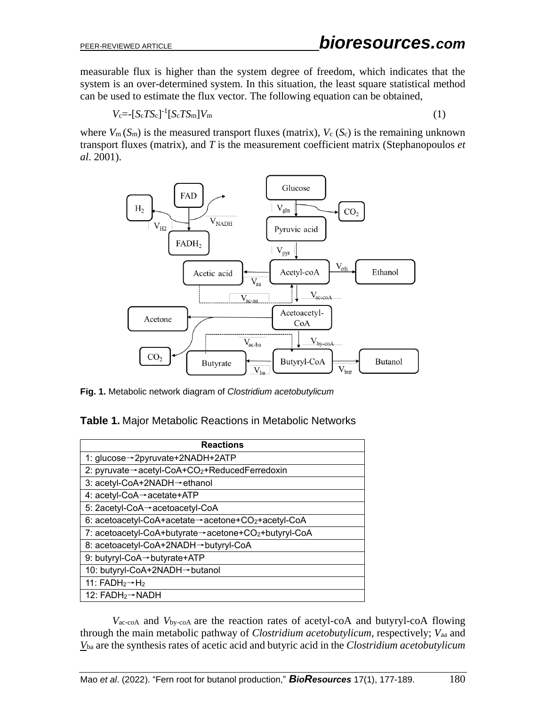measurable flux is higher than the system degree of freedom, which indicates that the system is an over-determined system. In this situation, the least square statistical method can be used to estimate the flux vector. The following equation can be obtained,

$$
V_{\rm c} = \left[S_{\rm c} T S_{\rm c}\right]^{-1} \left[S_{\rm c} T S_{\rm m}\right] V_{\rm m} \tag{1}
$$

where  $V_m(S_m)$  is the measured transport fluxes (matrix),  $V_c(S_c)$  is the remaining unknown transport fluxes (matrix), and *T* is the measurement coefficient matrix (Stephanopoulos *et al*. 2001).



**Fig. 1.** Metabolic network diagram of *Clostridium acetobutylicum*

| <b>Reactions</b>                                    |  |  |
|-----------------------------------------------------|--|--|
| 1: glucose→2pyruvate+2NADH+2ATP                     |  |  |
| 2: pyruvate→acetyl-CoA+CO2+ReducedFerredoxin        |  |  |
| 3: acetyl-CoA+2NADH→ethanol                         |  |  |
| 4: acetyl-CoA→acetate+ATP                           |  |  |
| 5: 2acetyl-CoA→acetoacetyl-CoA                      |  |  |
| 6: acetoacetyl-CoA+acetate→acetone+CO2+acetyl-CoA   |  |  |
| 7: acetoacetyl-CoA+butyrate→acetone+CO2+butyryl-CoA |  |  |
| 8: acetoacetyl-CoA+2NADH→butyryl-CoA                |  |  |
| 9: butyryl-CoA→butyrate+ATP                         |  |  |
| 10: butyryl-CoA+2NADH→butanol                       |  |  |
| 11: $FADH_2 \rightarrow H_2$                        |  |  |
| 12: $FADH_2 \rightarrow NADH$                       |  |  |

*V*ac-coA and *V*by-coA are the reaction rates of acetyl-coA and butyryl-coA flowing through the main metabolic pathway of *Clostridium acetobutylicum*, respectively; *V*aa and *V*ba are the synthesis rates of acetic acid and butyric acid in the *Clostridium acetobutylicum*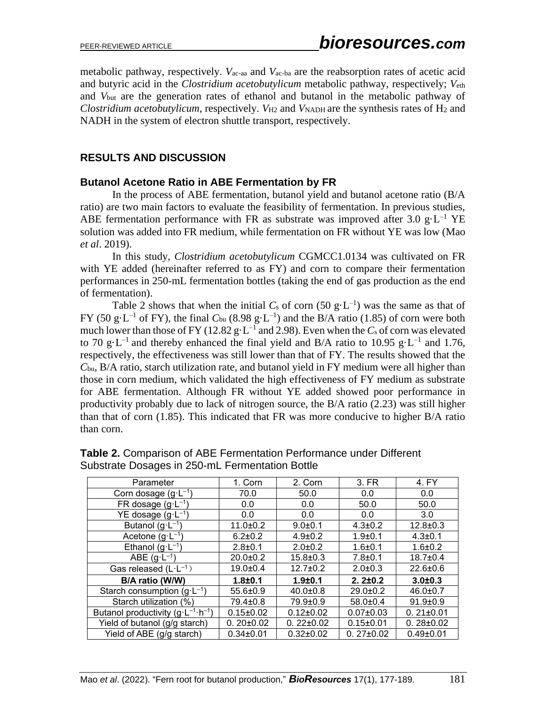metabolic pathway, respectively. *V*ac-aa and *V*ac-ba are the reabsorption rates of acetic acid and butyric acid in the *Clostridium acetobutylicum* metabolic pathway, respectively; *V*eth and *V*but are the generation rates of ethanol and butanol in the metabolic pathway of *Clostridium acetobutylicum*, respectively. *V*<sub>H2</sub> and *V*<sub>NADH</sub> are the synthesis rates of H<sub>2</sub> and NADH in the system of electron shuttle transport, respectively.

## **RESULTS AND DISCUSSION**

### **Butanol Acetone Ratio in ABE Fermentation by FR**

In the process of ABE fermentation, butanol yield and butanol acetone ratio (B/A ratio) are two main factors to evaluate the feasibility of fermentation. In previous studies, ABE fermentation performance with FR as substrate was improved after 3.0 g $\text{E}^{-1}$  YE solution was added into FR medium, while fermentation on FR without YE was low (Mao *et al*. 2019).

In this study, *Clostridium acetobutylicum* CGMCC1.0134 was cultivated on FR with YE added (hereinafter referred to as FY) and corn to compare their fermentation performances in 250-mL fermentation bottles (taking the end of gas production as the end of fermentation).

Table 2 shows that when the initial  $C_s$  of corn (50 g·L<sup>-1</sup>) was the same as that of FY (50 g·L<sup>-1</sup> of FY), the final  $C_{bu}$  (8.98 g·L<sup>-1</sup>) and the B/A ratio (1.85) of corn were both much lower than those of FY (12.82  $g \cdot L^{-1}$  and 2.98). Even when the  $C_s$  of corn was elevated to 70 g·L<sup>-1</sup> and thereby enhanced the final yield and B/A ratio to 10.95 g·L<sup>-1</sup> and 1.76, respectively, the effectiveness was still lower than that of FY. The results showed that the *C*bu, B/A ratio, starch utilization rate, and butanol yield in FY medium were all higher than those in corn medium, which validated the high effectiveness of FY medium as substrate for ABE fermentation. Although FR without YE added showed poor performance in productivity probably due to lack of nitrogen source, the B/A ratio (2.23) was still higher than that of corn (1.85). This indicated that FR was more conducive to higher B/A ratio than corn.

| Parameter                                            | 1. Corn         | 2. Corn         | 3. FR           | 4. FY           |
|------------------------------------------------------|-----------------|-----------------|-----------------|-----------------|
| Corn dosage $(g \cdot L^{-1})$                       | 70.0            | 50.0            | 0.0             | 0.0             |
| FR dosage $(g \cdot L^{-1})$                         | 0.0             | 0.0             | 50.0            | 50.0            |
| YE dosage $(g \cdot L^{-1})$                         | 0.0             | 0.0             | 0.0             | 3.0             |
| Butanol $(g \cdot L^{-1})$                           | $11.0 \pm 0.2$  | $9.0 + 0.1$     | $4.3 \pm 0.2$   | $12.8 \pm 0.3$  |
| Acetone $(g \cdot L^{-1})$                           | $6.2 \pm 0.2$   | $4.9 \pm 0.2$   | $1.9 + 0.1$     | $4.3 \pm 0.1$   |
| Ethanol $(g \cdot L^{-1})$                           | $2.8 \pm 0.1$   | $2.0 \pm 0.2$   | $1.6 + 0.1$     | $1.6 + 0.2$     |
| ABE $(g \cdot L^{-1})$                               | $20.0 \pm 0.2$  | $15.8 \pm 0.3$  | $7.8 + 0.1$     | $18.7 \pm 0.4$  |
| Gas released $(L \cdot L^{-1})$                      | $19.0 + 0.4$    | $12.7 \pm 0.2$  | $2.0 \pm 0.3$   | $22.6 \pm 0.6$  |
| B/A ratio (W/W)                                      | $1.8 + 0.1$     | $1.9 + 0.1$     | $2.2 \pm 0.2$   | $3.0 + 0.3$     |
| Starch consumption $(g \cdot L^{-1})$                | $55.6 \pm 0.9$  | $40.0 \pm 0.8$  | $29.0 \pm 0.2$  | $46.0 \pm 0.7$  |
| Starch utilization (%)                               | 79.4±0.8        | 79.9±0.9        | $58.0 \pm 0.4$  | $91.9 \pm 0.9$  |
| Butanol productivity $(g \cdot L^{-1} \cdot h^{-1})$ | $0.15 \pm 0.02$ | $0.12 \pm 0.02$ | $0.07 \pm 0.03$ | $0.21 \pm 0.01$ |
| Yield of butanol (g/g starch)                        | $0.20 \pm 0.02$ | $0.22 \pm 0.02$ | $0.15 \pm 0.01$ | $0.28 \pm 0.02$ |
| Yield of ABE (g/g starch)                            | $0.34 \pm 0.01$ | $0.32 \pm 0.02$ | $0.27 \pm 0.02$ | $0.49 + 0.01$   |

| Table 2. Comparison of ABE Fermentation Performance under Different |  |
|---------------------------------------------------------------------|--|
| Substrate Dosages in 250-mL Fermentation Bottle                     |  |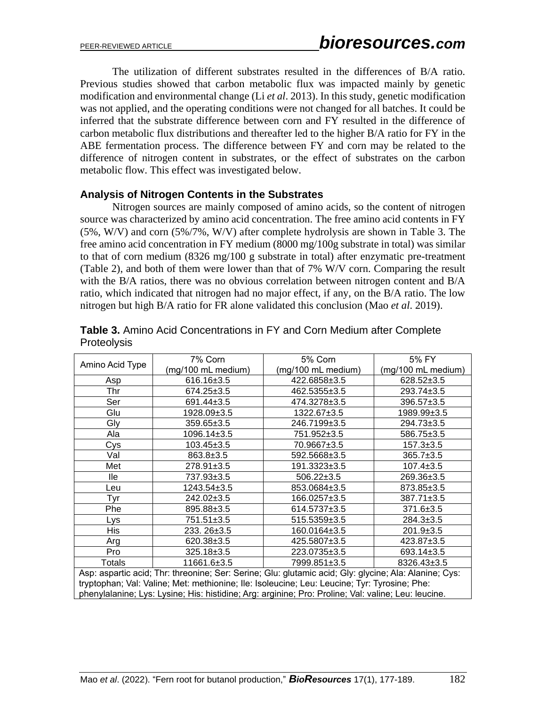The utilization of different substrates resulted in the differences of B/A ratio. Previous studies showed that carbon metabolic flux was impacted mainly by genetic modification and environmental change (Li *et al*. 2013). In this study, genetic modification was not applied, and the operating conditions were not changed for all batches. It could be inferred that the substrate difference between corn and FY resulted in the difference of carbon metabolic flux distributions and thereafter led to the higher B/A ratio for FY in the ABE fermentation process. The difference between FY and corn may be related to the difference of nitrogen content in substrates, or the effect of substrates on the carbon metabolic flow. This effect was investigated below.

#### **Analysis of Nitrogen Contents in the Substrates**

Nitrogen sources are mainly composed of amino acids, so the content of nitrogen source was characterized by amino acid concentration. The free amino acid contents in FY (5%, W/V) and corn (5%/7%, W/V) after complete hydrolysis are shown in Table 3. The free amino acid concentration in FY medium (8000 mg/100g substrate in total) was similar to that of corn medium (8326 mg/100 g substrate in total) after enzymatic pre-treatment (Table 2), and both of them were lower than that of 7% W/V corn. Comparing the result with the B/A ratios, there was no obvious correlation between nitrogen content and B/A ratio, which indicated that nitrogen had no major effect, if any, on the B/A ratio. The low nitrogen but high B/A ratio for FR alone validated this conclusion (Mao *et al*. 2019).

|                                                                                                       | 7% Corn            | 5% Corn            | 5% FY              |
|-------------------------------------------------------------------------------------------------------|--------------------|--------------------|--------------------|
| Amino Acid Type                                                                                       | (mg/100 mL medium) | (mg/100 mL medium) | (mg/100 mL medium) |
| Asp                                                                                                   | 616.16±3.5         | 422.6858±3.5       | $628.52 \pm 3.5$   |
| Thr                                                                                                   | $674.25 \pm 3.5$   | 462.5355±3.5       | 293.74±3.5         |
| Ser                                                                                                   | 691.44±3.5         | 474.3278±3.5       | 396.57±3.5         |
| Glu                                                                                                   | 1928.09±3.5        | 1322.67±3.5        | 1989.99±3.5        |
| Gly                                                                                                   | $359.65 \pm 3.5$   | 246.7199±3.5       | 294.73±3.5         |
| Ala                                                                                                   | 1096.14±3.5        | 751.952±3.5        | 586.75±3.5         |
| Cys                                                                                                   | $103.45 \pm 3.5$   | 70.9667±3.5        | $157.3 \pm 3.5$    |
| Val                                                                                                   | $863.8 \pm 3.5$    | 592.5668±3.5       | $365.7 \pm 3.5$    |
| Met                                                                                                   | 278.91±3.5         | 191.3323±3.5       | $107.4 \pm 3.5$    |
| lle                                                                                                   | 737.93±3.5         | $506.22 \pm 3.5$   | 269.36±3.5         |
| Leu                                                                                                   | 1243.54±3.5        | 853.0684±3.5       | 873.85±3.5         |
| Tyr                                                                                                   | 242.02±3.5         | 166.0257±3.5       | 387.71±3.5         |
| Phe                                                                                                   | 895.88±3.5         | 614.5737±3.5       | 371.6±3.5          |
| Lys                                                                                                   | 751.51±3.5         | $515.5359 + 3.5$   | $284.3 \pm 3.5$    |
| His                                                                                                   | 233. 26±3.5        | 160.0164±3.5       | $201.9 \pm 3.5$    |
| Arg                                                                                                   | 620.38±3.5         | 425.5807±3.5       | 423.87±3.5         |
| Pro                                                                                                   | 325.18±3.5         | 223.0735±3.5       | 693.14±3.5         |
| <b>Totals</b>                                                                                         | 11661.6±3.5        | 7999.851±3.5       | 8326.43±3.5        |
| Asp: aspartic acid; Thr: threonine; Ser: Serine; Glu: glutamic acid; Gly: glycine; Ala: Alanine; Cys: |                    |                    |                    |
| tryptophan; Val: Valine; Met: methionine; Ile: Isoleucine; Leu: Leucine; Tyr: Tyrosine; Phe:          |                    |                    |                    |
| phenylalanine; Lys: Lysine; His: histidine; Arg: arginine; Pro: Proline; Val: valine; Leu: leucine.   |                    |                    |                    |

| <b>Table 3.</b> Amino Acid Concentrations in FY and Corn Medium after Complete |  |  |
|--------------------------------------------------------------------------------|--|--|
| <b>Proteolysis</b>                                                             |  |  |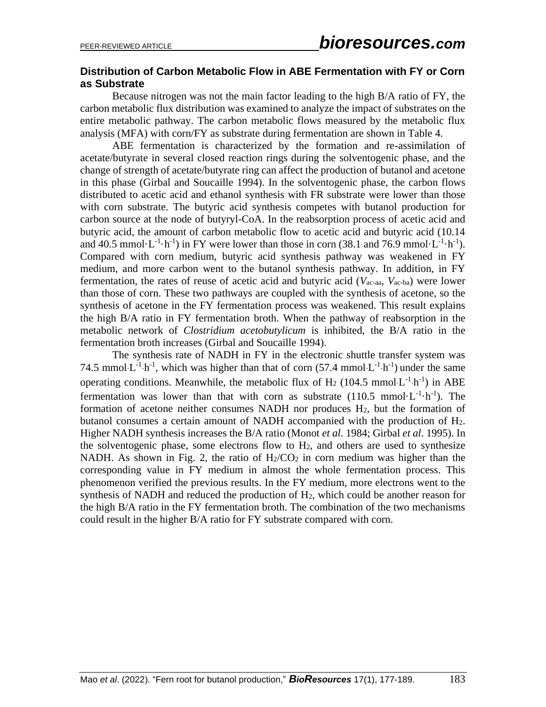### **Distribution of Carbon Metabolic Flow in ABE Fermentation with FY or Corn as Substrate**

Because nitrogen was not the main factor leading to the high B/A ratio of FY, the carbon metabolic flux distribution was examined to analyze the impact of substrates on the entire metabolic pathway. The carbon metabolic flows measured by the metabolic flux analysis (MFA) with corn/FY as substrate during fermentation are shown in Table 4.

ABE fermentation is characterized by the formation and re-assimilation of acetate/butyrate in several closed reaction rings during the solventogenic phase, and the change of strength of acetate/butyrate ring can affect the production of butanol and acetone in this phase (Girbal and Soucaille 1994). In the solventogenic phase, the carbon flows distributed to acetic acid and ethanol synthesis with FR substrate were lower than those with corn substrate. The butyric acid synthesis competes with butanol production for carbon source at the node of butyryl-CoA. In the reabsorption process of acetic acid and butyric acid, the amount of carbon metabolic flow to acetic acid and butyric acid (10.14 and 40.5 mmol $\cdot$ L<sup>-1</sup> $\cdot$ h<sup>-1</sup>) in FY were lower than those in corn (38.1 and 76.9 mmol $\cdot$ L<sup>-1</sup> $\cdot$ h<sup>-1</sup>). Compared with corn medium, butyric acid synthesis pathway was weakened in FY medium, and more carbon went to the butanol synthesis pathway. In addition, in FY fermentation, the rates of reuse of acetic acid and butyric acid (*V*ac-aa, *V*ac-ba) were lower than those of corn. These two pathways are coupled with the synthesis of acetone, so the synthesis of acetone in the FY fermentation process was weakened. This result explains the high B/A ratio in FY fermentation broth. When the pathway of reabsorption in the metabolic network of *Clostridium acetobutylicum* is inhibited, the B/A ratio in the fermentation broth increases (Girbal and Soucaille 1994).

The synthesis rate of NADH in FY in the electronic shuttle transfer system was 74.5 mmol $L^{-1}h^{-1}$ , which was higher than that of corn (57.4 mmol $L^{-1}h^{-1}$ ) under the same operating conditions. Meanwhile, the metabolic flux of H<sub>2</sub> (104.5 mmol L<sup>-1</sup> h<sup>-1</sup>) in ABE fermentation was lower than that with corn as substrate  $(110.5 \text{ mmol} \cdot L^{-1} \cdot h^{-1})$ . The formation of acetone neither consumes NADH nor produces  $H_2$ , but the formation of butanol consumes a certain amount of NADH accompanied with the production of H2. Higher NADH synthesis increases the B/A ratio (Monot *et al.* 1984; Girbal *et al*. 1995). In the solventogenic phase, some electrons flow to  $H_2$ , and others are used to synthesize NADH. As shown in Fig. 2, the ratio of  $H_2/CO_2$  in corn medium was higher than the corresponding value in FY medium in almost the whole fermentation process. This phenomenon verified the previous results. In the FY medium, more electrons went to the synthesis of NADH and reduced the production of H2, which could be another reason for the high B/A ratio in the FY fermentation broth. The combination of the two mechanisms could result in the higher B/A ratio for FY substrate compared with corn.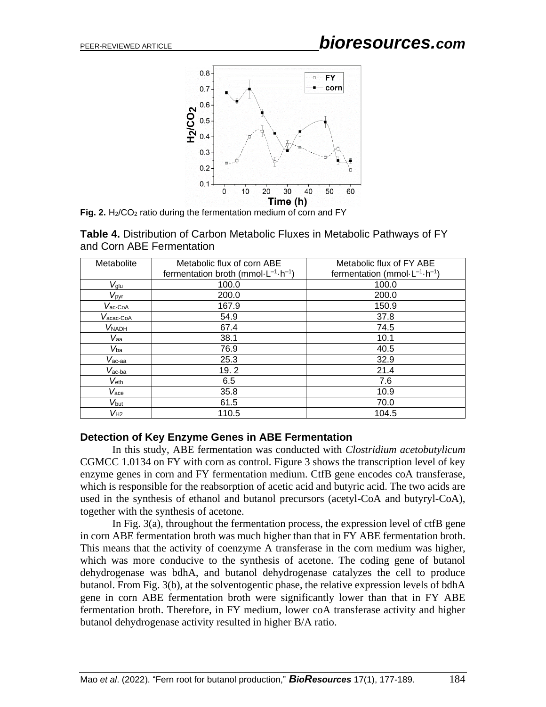

**Fig. 2.**  $H_2/CO_2$  ratio during the fermentation medium of corn and FY

| Table 4. Distribution of Carbon Metabolic Fluxes in Metabolic Pathways of FY |
|------------------------------------------------------------------------------|
| and Corn ABE Fermentation                                                    |

| Metabolite          | Metabolic flux of corn ABE                        | Metabolic flux of FY ABE                    |
|---------------------|---------------------------------------------------|---------------------------------------------|
|                     | fermentation broth (mmol $-L^{-1} \cdot h^{-1}$ ) | fermentation (mmol $-L^{-1} \cdot h^{-1}$ ) |
|                     |                                                   |                                             |
| $V_{glu}$           | 100.0                                             | 100.0                                       |
| $V_{\text{pyr}}$    | 200.0                                             | 200.0                                       |
| $V_{\text{ac-CoA}}$ | 167.9                                             | 150.9                                       |
| Vacac-CoA           | 54.9                                              | 37.8                                        |
| <b>VNADH</b>        | 67.4                                              | 74.5                                        |
| $V_{aa}$            | 38.1                                              | 10.1                                        |
| $V_{ba}$            | 76.9                                              | 40.5                                        |
| $V_{\text{ac-aa}}$  | 25.3                                              | 32.9                                        |
| $V_{\text{ac-ba}}$  | 19.2                                              | 21.4                                        |
| $V_{\text{eth}}$    | 6.5                                               | 7.6                                         |
| $V_{\text{ace}}$    | 35.8                                              | 10.9                                        |
| V <sub>but</sub>    | 61.5                                              | 70.0                                        |
| $V_{H2}$            | 110.5                                             | 104.5                                       |

#### **Detection of Key Enzyme Genes in ABE Fermentation**

In this study, ABE fermentation was conducted with *Clostridium acetobutylicum*  CGMCC 1.0134 on FY with corn as control. Figure 3 shows the transcription level of key enzyme genes in corn and FY fermentation medium. CtfB gene encodes coA transferase, which is responsible for the reabsorption of acetic acid and butyric acid. The two acids are used in the synthesis of ethanol and butanol precursors (acetyl-CoA and butyryl-CoA), together with the synthesis of acetone.

In Fig.  $3(a)$ , throughout the fermentation process, the expression level of ctfB gene in corn ABE fermentation broth was much higher than that in FY ABE fermentation broth. This means that the activity of coenzyme A transferase in the corn medium was higher, which was more conducive to the synthesis of acetone. The coding gene of butanol dehydrogenase was bdhA, and butanol dehydrogenase catalyzes the cell to produce butanol. From Fig. 3(b), at the solventogentic phase, the relative expression levels of bdhA gene in corn ABE fermentation broth were significantly lower than that in FY ABE fermentation broth. Therefore, in FY medium, lower coA transferase activity and higher butanol dehydrogenase activity resulted in higher B/A ratio.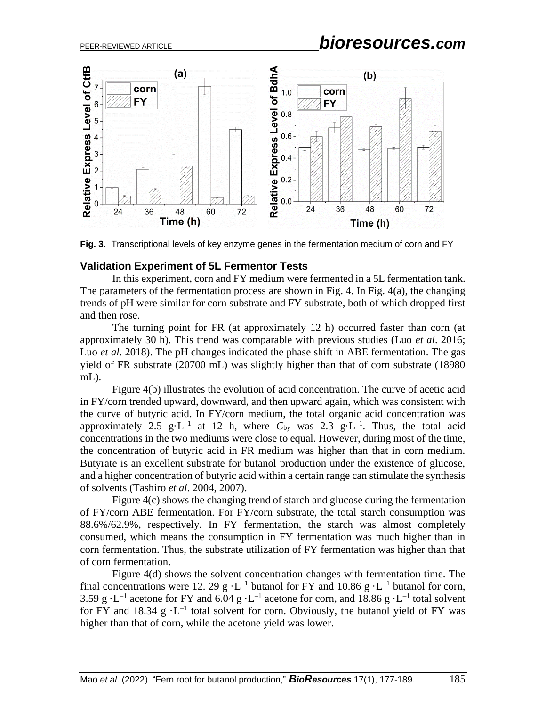

**Fig. 3.** Transcriptional levels of key enzyme genes in the fermentation medium of corn and FY

#### **Validation Experiment of 5L Fermentor Tests**

In this experiment, corn and FY medium were fermented in a 5L fermentation tank. The parameters of the fermentation process are shown in Fig. 4. In Fig. 4(a), the changing trends of pH were similar for corn substrate and FY substrate, both of which dropped first and then rose.

The turning point for FR (at approximately 12 h) occurred faster than corn (at approximately 30 h). This trend was comparable with previous studies (Luo *et al*. 2016; Luo *et al*. 2018). The pH changes indicated the phase shift in ABE fermentation. The gas yield of FR substrate (20700 mL) was slightly higher than that of corn substrate (18980 mL).

Figure 4(b) illustrates the evolution of acid concentration. The curve of acetic acid in FY/corn trended upward, downward, and then upward again, which was consistent with the curve of butyric acid. In FY/corn medium, the total organic acid concentration was approximately 2.5  $g \cdot L^{-1}$  at 12 h, where  $C_{by}$  was 2.3  $g \cdot L^{-1}$ . Thus, the total acid concentrations in the two mediums were close to equal. However, during most of the time, the concentration of butyric acid in FR medium was higher than that in corn medium. Butyrate is an excellent substrate for butanol production under the existence of glucose, and a higher concentration of butyric acid within a certain range can stimulate the synthesis of solvents (Tashiro *et al*. 2004, 2007).

Figure 4(c) shows the changing trend of starch and glucose during the fermentation of FY/corn ABE fermentation. For FY/corn substrate, the total starch consumption was 88.6%/62.9%, respectively. In FY fermentation, the starch was almost completely consumed, which means the consumption in FY fermentation was much higher than in corn fermentation. Thus, the substrate utilization of FY fermentation was higher than that of corn fermentation.

Figure 4(d) shows the solvent concentration changes with fermentation time. The final concentrations were 12. 29 g  $\cdot$  L<sup>-1</sup> butanol for FY and 10.86 g  $\cdot$  L<sup>-1</sup> butanol for corn, 3.59 g $\cdot$ L<sup>-1</sup> acetone for FY and 6.04 g $\cdot$ L<sup>-1</sup> acetone for corn, and 18.86 g $\cdot$ L<sup>-1</sup> total solvent for FY and 18.34  $g \cdot L^{-1}$  total solvent for corn. Obviously, the butanol yield of FY was higher than that of corn, while the acetone yield was lower.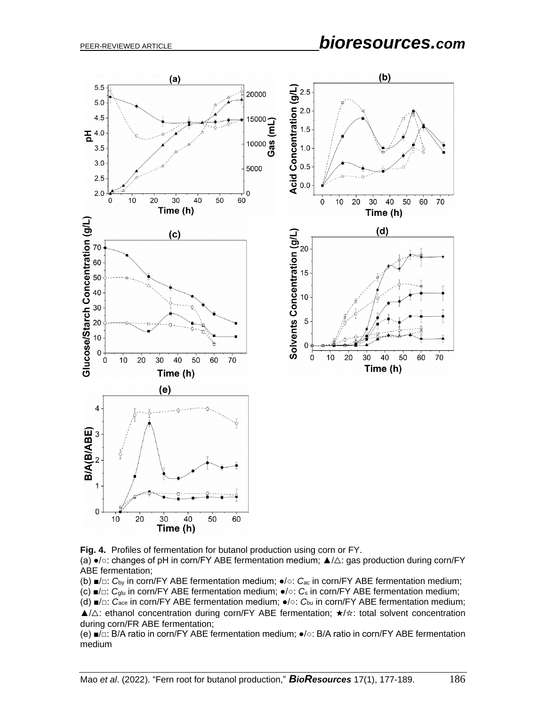# PEER-REVIEWED ARTICLE *bioresources.com*



**Fig. 4.** Profiles of fermentation for butanol production using corn or FY.

(a) ●/○: changes of pH in corn/FY ABE fermentation medium; ▲/△: gas production during corn/FY ABE fermentation;

(b) ■/□: *C*by in corn/FY ABE fermentation medium; ●/○: *C*ac in corn/FY ABE fermentation medium;

(c) ■/□: *C*glu in corn/FY ABE fermentation medium; ●/○: *C*<sup>s</sup> in corn/FY ABE fermentation medium;

(d) ■/□: *C*ace in corn/FY ABE fermentation medium; ●/○: *C*bu in corn/FY ABE fermentation medium; ▲/△: ethanol concentration during corn/FY ABE fermentation; ★/☆: total solvent concentration during corn/FR ABE fermentation;

(e) ■/□: B/A ratio in corn/FY ABE fermentation medium; ●/○: B/A ratio in corn/FY ABE fermentation medium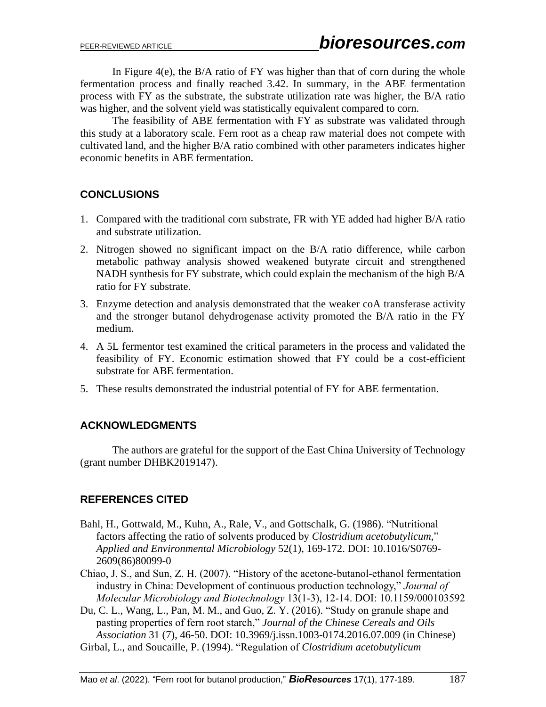In Figure  $4(e)$ , the B/A ratio of FY was higher than that of corn during the whole fermentation process and finally reached 3.42. In summary, in the ABE fermentation process with FY as the substrate, the substrate utilization rate was higher, the B/A ratio was higher, and the solvent yield was statistically equivalent compared to corn.

The feasibility of ABE fermentation with FY as substrate was validated through this study at a laboratory scale. Fern root as a cheap raw material does not compete with cultivated land, and the higher B/A ratio combined with other parameters indicates higher economic benefits in ABE fermentation.

## **CONCLUSIONS**

- 1. Compared with the traditional corn substrate, FR with YE added had higher B/A ratio and substrate utilization.
- 2. Nitrogen showed no significant impact on the B/A ratio difference, while carbon metabolic pathway analysis showed weakened butyrate circuit and strengthened NADH synthesis for FY substrate, which could explain the mechanism of the high B/A ratio for FY substrate.
- 3. Enzyme detection and analysis demonstrated that the weaker coA transferase activity and the stronger butanol dehydrogenase activity promoted the B/A ratio in the FY medium.
- 4. A 5L fermentor test examined the critical parameters in the process and validated the feasibility of FY. Economic estimation showed that FY could be a cost-efficient substrate for ABE fermentation.
- 5. These results demonstrated the industrial potential of FY for ABE fermentation.

## **ACKNOWLEDGMENTS**

The authors are grateful for the support of the East China University of Technology (grant number DHBK2019147).

## **REFERENCES CITED**

- Bahl, H., Gottwald, M., Kuhn, A., Rale, V., and Gottschalk, G. (1986). "Nutritional factors affecting the ratio of solvents produced by *Clostridium acetobutylicum*," *Applied and Environmental Microbiology* 52(1), 169-172. DOI: 10.1016/S0769- 2609(86)80099-0
- Chiao, J. S., and Sun, Z. H. (2007). "History of the acetone-butanol-ethanol fermentation industry in China: Development of continuous production technology," *Journal of Molecular Microbiology and Biotechnology* 13(1-3), 12-14. DOI: 10.1159/000103592
- Du, C. L., Wang, L., Pan, M. M., and Guo, Z. Y. (2016). "Study on granule shape and pasting properties of fern root starch," *Journal of the Chinese Cereals and Oils Association* 31 (7), 46-50. DOI: 10.3969/j.issn.1003-0174.2016.07.009 (in Chinese)
- Girbal, L., and Soucaille, P. (1994). "Regulation of *Clostridium acetobutylicum*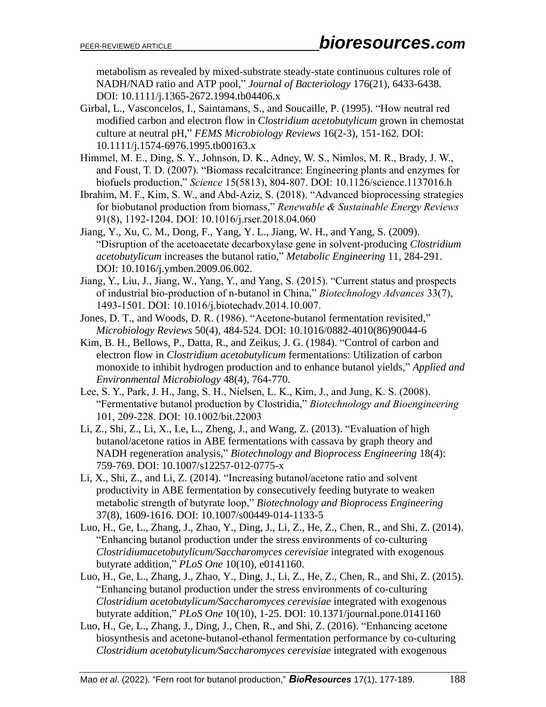metabolism as revealed by mixed-substrate steady-state continuous cultures role of NADH/NAD ratio and ATP pool," *Journal of Bacteriology* 176(21), 6433-6438. DOI: 10.1111/j.1365-2672.1994.tb04406.x

- Girbal, L., Vasconcelos, I., Saintamans, S., and Soucaille, P. (1995). "How neutral red modified carbon and electron flow in *Clostridium acetobutylicum* grown in chemostat culture at neutral pH," *FEMS Microbiology Reviews* 16(2-3), 151-162. DOI: 10.1111/j.1574-6976.1995.tb00163.x
- Himmel, M. E., Ding, S. Y., Johnson, D. K., Adney, W. S., Nimlos, M. R., Brady, J. W., and Foust, T. D. (2007). "Biomass recalcitrance: Engineering plants and enzymes for biofuels production," *Science* 15(5813), 804-807. DOI: 10.1126/science.1137016.h
- Ibrahim, M. F., Kim, S. W., and Abd-Aziz, S. (2018). "Advanced bioprocessing strategies for biobutanol production from biomass," *Renewable & Sustainable Energy Reviews* 91(8), 1192-1204. DOI: 10.1016/j.rser.2018.04.060
- Jiang, Y., Xu, C. M., Dong, F., Yang, Y. L., Jiang, W. H., and Yang, S. (2009). "Disruption of the acetoacetate decarboxylase gene in solvent-producing *Clostridium acetobutylicum* increases the butanol ratio," *Metabolic Engineering* 11, 284-291. DOI: 10.1016/j.ymben.2009.06.002.
- Jiang, Y., Liu, J., Jiang, W., Yang, Y., and Yang, S. (2015). "Current status and prospects of industrial bio-production of n-butanol in China," *Biotechnology Advances* 33(7), 1493-1501. DOI: 10.1016/j.biotechadv.2014.10.007.
- Jones, D. T., and Woods, D. R. (1986). "Acetone-butanol fermentation revisited," *Microbiology Reviews* 50(4), 484-524. DOI: 10.1016/0882-4010(86)90044-6
- Kim, B. H., Bellows, P., Datta, R., and Zeikus, J. G. (1984). "Control of carbon and electron flow in *Clostridium acetobutylicum* fermentations: Utilization of carbon monoxide to inhibit hydrogen production and to enhance butanol yields," *Applied and Environmental Microbiology* 48(4), 764-770.
- Lee, S. Y., Park, J. H., Jang, S. H., Nielsen, L. K., Kim, J., and Jung, K. S. (2008). "Fermentative butanol production by Clostridia," *Biotechnology and Bioengineering* 101, 209-228. DOI: 10.1002/bit.22003
- Li, Z., Shi, Z., Li, X., Le, L., Zheng, J., and Wang, Z. (2013). "Evaluation of high butanol/acetone ratios in ABE fermentations with cassava by graph theory and NADH regeneration analysis," *Biotechnology and Bioprocess Engineering* 18(4): 759-769. DOI: 10.1007/s12257-012-0775-x
- Li, X., Shi, Z., and Li, Z. (2014). "Increasing butanol/acetone ratio and solvent productivity in ABE fermentation by consecutively feeding butyrate to weaken metabolic strength of butyrate loop," *Biotechnology and Bioprocess Engineering* 37(8), 1609-1616. DOI: 10.1007/s00449-014-1133-5
- Luo, H., Ge, L., Zhang, J., Zhao, Y., Ding, J., Li, Z., He, Z., Chen, R., and Shi, Z. (2014). "Enhancing butanol production under the stress environments of co-culturing *Clostridiumacetobutylicum/Saccharomyces cerevisiae* integrated with exogenous butyrate addition," *PLoS One* 10(10), e0141160.
- Luo, H., Ge, L., Zhang, J., Zhao, Y., Ding, J., Li, Z., He, Z., Chen, R., and Shi, Z. (2015). "Enhancing butanol production under the stress environments of co-culturing *Clostridium acetobutylicum/Saccharomyces cerevisiae* integrated with exogenous butyrate addition," *PLoS One* 10(10), 1-25. DOI: 10.1371/journal.pone.0141160
- Luo, H., Ge, L., Zhang, J., Ding, J., Chen, R., and Shi, Z. (2016). "Enhancing acetone biosynthesis and acetone-butanol-ethanol fermentation performance by co-culturing *Clostridium acetobutylicum/Saccharomyces cerevisiae* integrated with exogenous